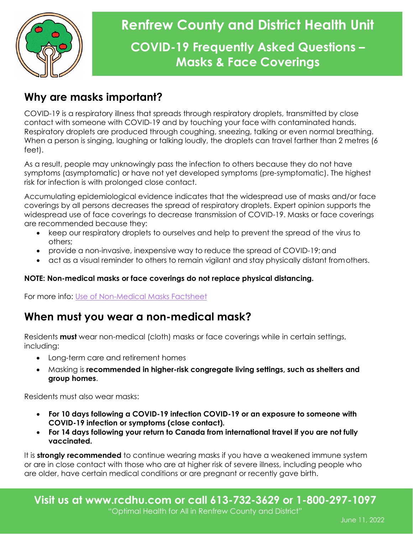

# **Why are masks important?**

COVID-19 is a respiratory illness that spreads through respiratory droplets, transmitted by close contact with someone with COVID-19 and by touching your face with contaminated hands. Respiratory droplets are produced through coughing, sneezing, talking or even normal breathing. When a person is singing, laughing or talking loudly, the droplets can travel farther than 2 metres (6 feet).

As a result, people may unknowingly pass the infection to others because they do not have symptoms (asymptomatic) or have not yet developed symptoms (pre-symptomatic). The highest risk for infection is with prolonged close contact.

Accumulating epidemiological evidence indicates that the widespread use of masks and/or face coverings by all persons decreases the spread of respiratory droplets. Expert opinion supports the widespread use of face coverings to decrease transmission of COVID-19. Masks or face coverings are recommended because they:

- keep our respiratory droplets to ourselves and help to prevent the spread of the virus to others;
- provide a non-invasive, inexpensive way to reduce the spread of COVID-19; and
- act as a visual reminder to others to remain vigilant and stay physically distant fromothers.

#### **NOTE: Non-medical masks or face coverings do not replace physical distancing.**

For more info: [Use of Non-Medical Masks Factsheet](https://www.rcdhu.com/wp-content/uploads/2020/05/Use-of-Non-Medical-Masks-Fact-Sheet-May-22.pdf)

### **When must you wear a non-medical mask?**

Residents **must** wear non-medical (cloth) masks or face coverings while in certain settings, including:

- Long-term care and retirement homes
- Masking is **recommended in higher-risk congregate living settings, such as shelters and group homes**.

Residents must also wear masks:

- **For 10 days following a COVID-19 infection COVID-19 or an exposure to someone with COVID-19 infection or symptoms (close contact).**
- **For 14 days following your return to Canada from international travel if you are not fully vaccinated.**

It is **strongly recommended** to continue wearing masks if you have a weakened immune system or are in close contact with those who are at higher risk of severe illness, including people who are older, have certain medical conditions or are pregnant or recently gave birth.

**Visit us at [www.rcdhu.com](http://www.rcdhu.com/) or call 613-732-3629 or 1-800-297-1097**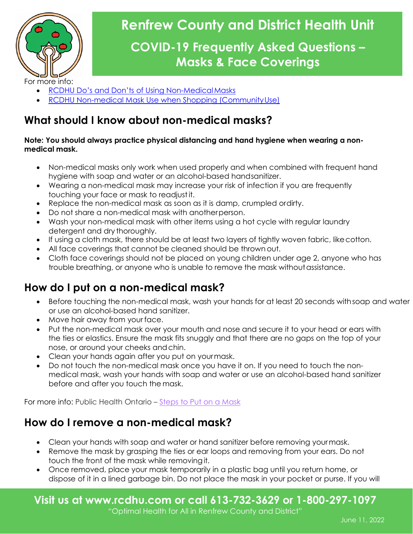

- [RCDHU Do's and Don'ts of Using Non-MedicalMasks](https://www.rcdhu.com/wp-content/uploads/2020/05/Dos-and-Donts-of-Using-Non-Medical-Masks-MAY-21.pdf)
- **RCDHU Non-medical Mask Use when Shopping (Community Use)**

### **What should I know about non-medical masks?**

#### **Note: You should always practice physical distancing and hand hygiene when wearing a nonmedical mask.**

- Non-medical masks only work when used properly and when combined with frequent hand hygiene with soap and water or an alcohol-based handsanitizer.
- Wearing a non-medical mask may increase your risk of infection if you are frequently touching your face or mask to readjustit.
- Replace the non-medical mask as soon as it is damp, crumpled ordirty.
- Do not share a non-medical mask with anotherperson.
- Wash your non-medical mask with other items using a hot cycle with regular laundry detergent and dry thoroughly.
- If using a cloth mask, there should be at least two layers of tightly woven fabric, likecotton.
- All face coverings that cannot be cleaned should be thrown out.
- Cloth face coverings should not be placed on young children under age 2, anyone who has trouble breathing, or anyone who is unable to remove the mask without assistance.

### **How do I put on a non-medical mask?**

- Before touching the non-medical mask, wash your hands for at least 20 seconds withsoap and water or use an alcohol-based hand sanitizer.
- Move hair away from your face.
- Put the non-medical mask over your mouth and nose and secure it to your head or ears with the ties or elastics. Ensure the mask fits snuggly and that there are no gaps on the top of your nose, or around your cheeks andchin.
- Clean your hands again after you put on yourmask.
- Do not touch the non-medical mask once you have it on. If you need to touch the nonmedical mask, wash your hands with soap and water or use an alcohol-based hand sanitizer before and after you touch the mask.

For more info: Public Health Ontario – [Steps to Put on a Mask](https://www.publichealthontario.ca/-/media/documents/e/2013/ect-mask-donning.pdf?la=en)

# **How do I remove a non-medical mask?**

- Clean your hands with soap and water or hand sanitizer before removing yourmask.
- Remove the mask by grasping the ties or ear loops and removing from your ears. Do not touch the front of the mask while removingit.
- Once removed, place your mask temporarily in a plastic bag until you return home, or dispose of it in a lined garbage bin. Do not place the mask in your pocket or purse. If you will

**Visit us at [www.rcdhu.com](http://www.rcdhu.com/) or call 613-732-3629 or 1-800-297-1097**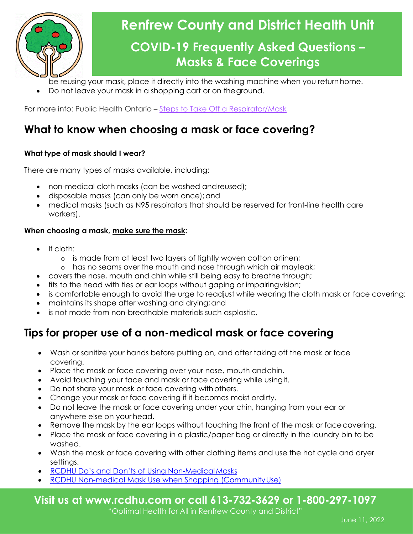

be reusing your mask, place it directly into the washing machine when you returnhome.

• Do not leave your mask in a shopping cart or on theground.

For more info: Public Health Ontario – [Steps to Take Off a Respirator/Mask](https://www.publichealthontario.ca/-/media/documents/e/2013/ect-respirator-doffing.pdf?la=en)

### **What to know when choosing a mask or face covering?**

#### **What type of mask should I wear?**

There are many types of masks available, including:

- non-medical cloth masks (can be washed andreused);
- disposable masks (can only be worn once); and
- medical masks (such as N95 respirators that should be reserved for front-line health care workers).

#### **When choosing a mask, make sure the mask:**

- If cloth:
	- o is made from at least two layers of tightly woven cotton orlinen;
	- o has no seams over the mouth and nose through which air mayleak;
- covers the nose, mouth and chin while still being easy to breathe through;
- fits to the head with ties or ear loops without gaping or impairingvision;
- is comfortable enough to avoid the urge to readjust while wearing the cloth mask or face covering;
- maintains its shape after washing and drying; and
- is not made from non-breathable materials such asplastic.

### **Tips for proper use of a non-medical mask or face covering**

- Wash or sanitize your hands before putting on, and after taking off the mask or face covering.
- Place the mask or face covering over your nose, mouth andchin.
- Avoid touching your face and mask or face covering while usingit.
- Do not share your mask or face covering withothers.
- Change your mask or face covering if it becomes moist ordirty.
- Do not leave the mask or face covering under your chin, hanging from your ear or anywhere else on your head.
- Remove the mask by the ear loops without touching the front of the mask or face covering.
- Place the mask or face covering in a plastic/paper bag or directly in the laundry bin to be washed.
- Wash the mask or face covering with other clothing items and use the hot cycle and dryer settings.
- [RCDHU Do's and Don'ts of Using Non-MedicalMasks](https://www.rcdhu.com/wp-content/uploads/2020/05/Dos-and-Donts-of-Using-Non-Medical-Masks-MAY-21.pdf)
- RCDHU Non-medical Mask Use when Shopping (Community Use)

**Visit us at [www.rcdhu.com](http://www.rcdhu.com/) or call 613-732-3629 or 1-800-297-1097**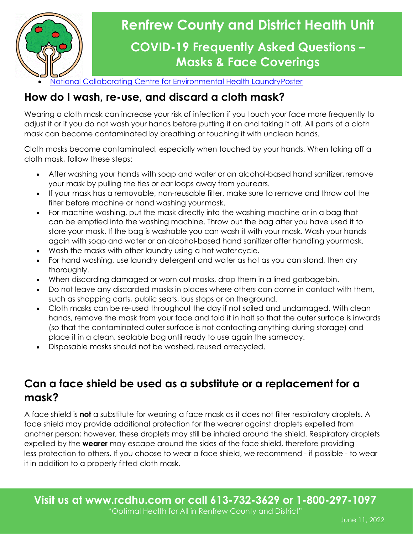

• [National Collaborating Centre for Environmental Health LaundryPoster](https://www.rcdhu.com/wp-content/uploads/2020/06/Shared-laundry-poster.pdf)

# **How do I wash, re-use, and discard a cloth mask?**

Wearing a cloth mask can increase your risk of infection if you touch your face more frequently to adjust it or if you do not wash your hands before putting it on and taking it off. All parts of a cloth mask can become contaminated by breathing or touching it with unclean hands.

Cloth masks become contaminated, especially when touched by your hands. When taking off a cloth mask, follow these steps:

- After washing your hands with soap and water or an alcohol-based hand sanitizer, remove your mask by pulling the ties or ear loops away from yourears.
- If your mask has a removable, non-reusable filter, make sure to remove and throw out the filter before machine or hand washing yourmask.
- For machine washing, put the mask directly into the washing machine or in a bag that can be emptied into the washing machine. Throw out the bag after you have used it to store your mask. If the bag is washable you can wash it with your mask. Wash your hands again with soap and water or an alcohol-based hand sanitizer after handling yourmask.
- Wash the masks with other laundry using a hot watercycle.
- For hand washing, use laundry detergent and water as hot as you can stand, then dry thoroughly.
- When discarding damaged or worn out masks, drop them in a lined garbage bin.
- Do not leave any discarded masks in places where others can come in contact with them, such as shopping carts, public seats, bus stops or on theground.
- Cloth masks can be re-used throughout the day if not soiled and undamaged. With clean hands, remove the mask from your face and fold it in half so that the outer surface is inwards (so that the contaminated outer surface is not contacting anything during storage) and place it in a clean, sealable bag until ready to use again the sameday.
- Disposable masks should not be washed, reused orrecycled.

# **Can a face shield be used as a substitute or a replacement for a mask?**

A face shield is **not** a substitute for wearing a face mask as it does not filter respiratory droplets. A face shield may provide additional protection for the wearer against droplets expelled from another person; however, these droplets may still be inhaled around the shield. Respiratory droplets expelled by the **wearer** may escape around the sides of the face shield, therefore providing less protection to others. If you choose to wear a face shield, we recommend - if possible - to wear it in addition to a properly fitted cloth mask.

**Visit us at [www.rcdhu.com](http://www.rcdhu.com/) or call 613-732-3629 or 1-800-297-1097** "Optimal Health for All in Renfrew County and District"

June 11, 2022